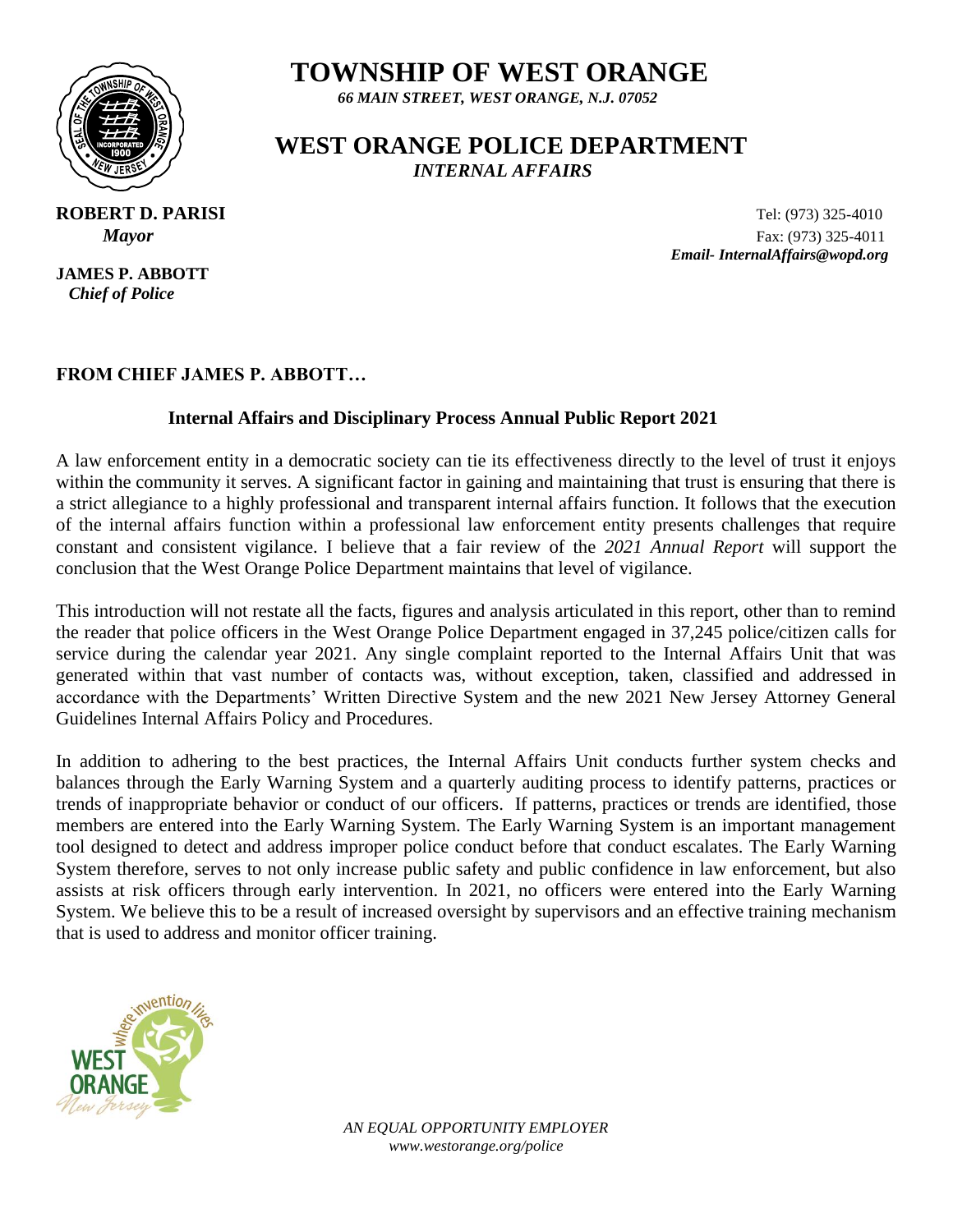

 *66 MAIN STREET, WEST ORANGE, N.J. 07052*

### **WEST ORANGE POLICE DEPARTMENT**  *INTERNAL AFFAIRS*

**JAMES P. ABBOTT**  *Chief of Police*

**ROBERT D. PARISI Tel:** (973) 325-4010  *Mayor* Fax: (973) 325-4011  *Email- InternalAffairs@wopd.org*

#### **FROM CHIEF JAMES P. ABBOTT…**

#### **Internal Affairs and Disciplinary Process Annual Public Report 2021**

A law enforcement entity in a democratic society can tie its effectiveness directly to the level of trust it enjoys within the community it serves. A significant factor in gaining and maintaining that trust is ensuring that there is a strict allegiance to a highly professional and transparent internal affairs function. It follows that the execution of the internal affairs function within a professional law enforcement entity presents challenges that require constant and consistent vigilance. I believe that a fair review of the *2021 Annual Report* will support the conclusion that the West Orange Police Department maintains that level of vigilance.

This introduction will not restate all the facts, figures and analysis articulated in this report, other than to remind the reader that police officers in the West Orange Police Department engaged in 37,245 police/citizen calls for service during the calendar year 2021. Any single complaint reported to the Internal Affairs Unit that was generated within that vast number of contacts was, without exception, taken, classified and addressed in accordance with the Departments' Written Directive System and the new 2021 New Jersey Attorney General Guidelines Internal Affairs Policy and Procedures.

In addition to adhering to the best practices, the Internal Affairs Unit conducts further system checks and balances through the Early Warning System and a quarterly auditing process to identify patterns, practices or trends of inappropriate behavior or conduct of our officers. If patterns, practices or trends are identified, those members are entered into the Early Warning System. The Early Warning System is an important management tool designed to detect and address improper police conduct before that conduct escalates. The Early Warning System therefore, serves to not only increase public safety and public confidence in law enforcement, but also assists at risk officers through early intervention. In 2021, no officers were entered into the Early Warning System. We believe this to be a result of increased oversight by supervisors and an effective training mechanism that is used to address and monitor officer training.

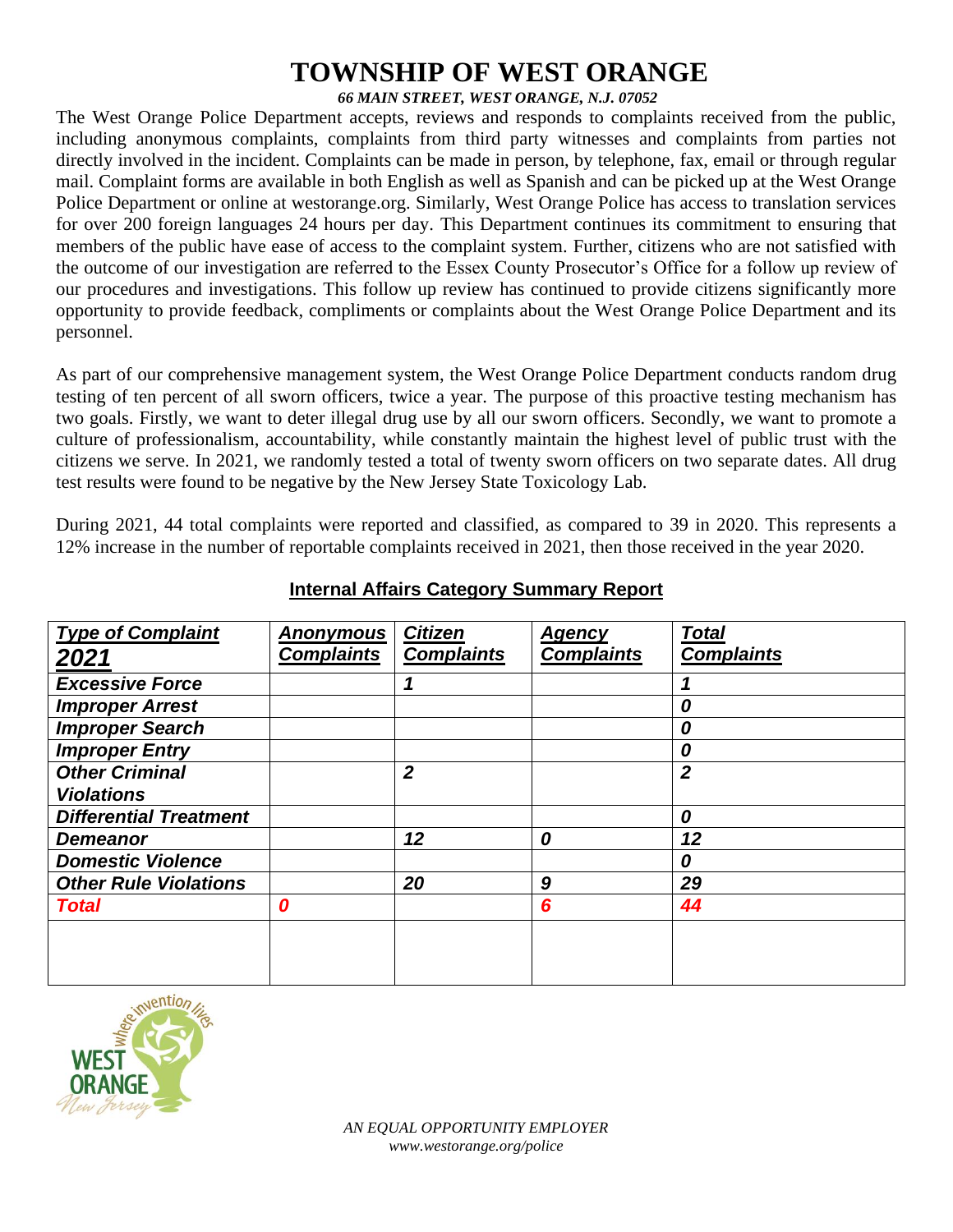#### *66 MAIN STREET, WEST ORANGE, N.J. 07052*

The West Orange Police Department accepts, reviews and responds to complaints received from the public, including anonymous complaints, complaints from third party witnesses and complaints from parties not directly involved in the incident. Complaints can be made in person, by telephone, fax, email or through regular mail. Complaint forms are available in both English as well as Spanish and can be picked up at the West Orange Police Department or online at westorange.org. Similarly, West Orange Police has access to translation services for over 200 foreign languages 24 hours per day. This Department continues its commitment to ensuring that members of the public have ease of access to the complaint system. Further, citizens who are not satisfied with the outcome of our investigation are referred to the Essex County Prosecutor's Office for a follow up review of our procedures and investigations. This follow up review has continued to provide citizens significantly more opportunity to provide feedback, compliments or complaints about the West Orange Police Department and its personnel.

As part of our comprehensive management system, the West Orange Police Department conducts random drug testing of ten percent of all sworn officers, twice a year. The purpose of this proactive testing mechanism has two goals. Firstly, we want to deter illegal drug use by all our sworn officers. Secondly, we want to promote a culture of professionalism, accountability, while constantly maintain the highest level of public trust with the citizens we serve. In 2021, we randomly tested a total of twenty sworn officers on two separate dates. All drug test results were found to be negative by the New Jersey State Toxicology Lab.

During 2021, 44 total complaints were reported and classified, as compared to 39 in 2020. This represents a 12% increase in the number of reportable complaints received in 2021, then those received in the year 2020.

| <b>Type of Complaint</b>      | <b>Anonymous</b>  | <b>Citizen</b>    | <b>Agency</b>     | <b>Total</b>      |
|-------------------------------|-------------------|-------------------|-------------------|-------------------|
| 2021                          | <b>Complaints</b> | <b>Complaints</b> | <b>Complaints</b> | <b>Complaints</b> |
| <b>Excessive Force</b>        |                   |                   |                   |                   |
| <b>Improper Arrest</b>        |                   |                   |                   | 0                 |
| <b>Improper Search</b>        |                   |                   |                   | 0                 |
| <b>Improper Entry</b>         |                   |                   |                   | 0                 |
| <b>Other Criminal</b>         |                   | $\overline{2}$    |                   | $\overline{2}$    |
| <b>Violations</b>             |                   |                   |                   |                   |
| <b>Differential Treatment</b> |                   |                   |                   | 0                 |
| <b>Demeanor</b>               |                   | 12                | 0                 | 12                |
| <b>Domestic Violence</b>      |                   |                   |                   | 0                 |
| <b>Other Rule Violations</b>  |                   | 20                | 9                 | 29                |
| <b>Total</b>                  | 0                 |                   | 6                 | 44                |
|                               |                   |                   |                   |                   |
|                               |                   |                   |                   |                   |
|                               |                   |                   |                   |                   |

#### **Internal Affairs Category Summary Report**

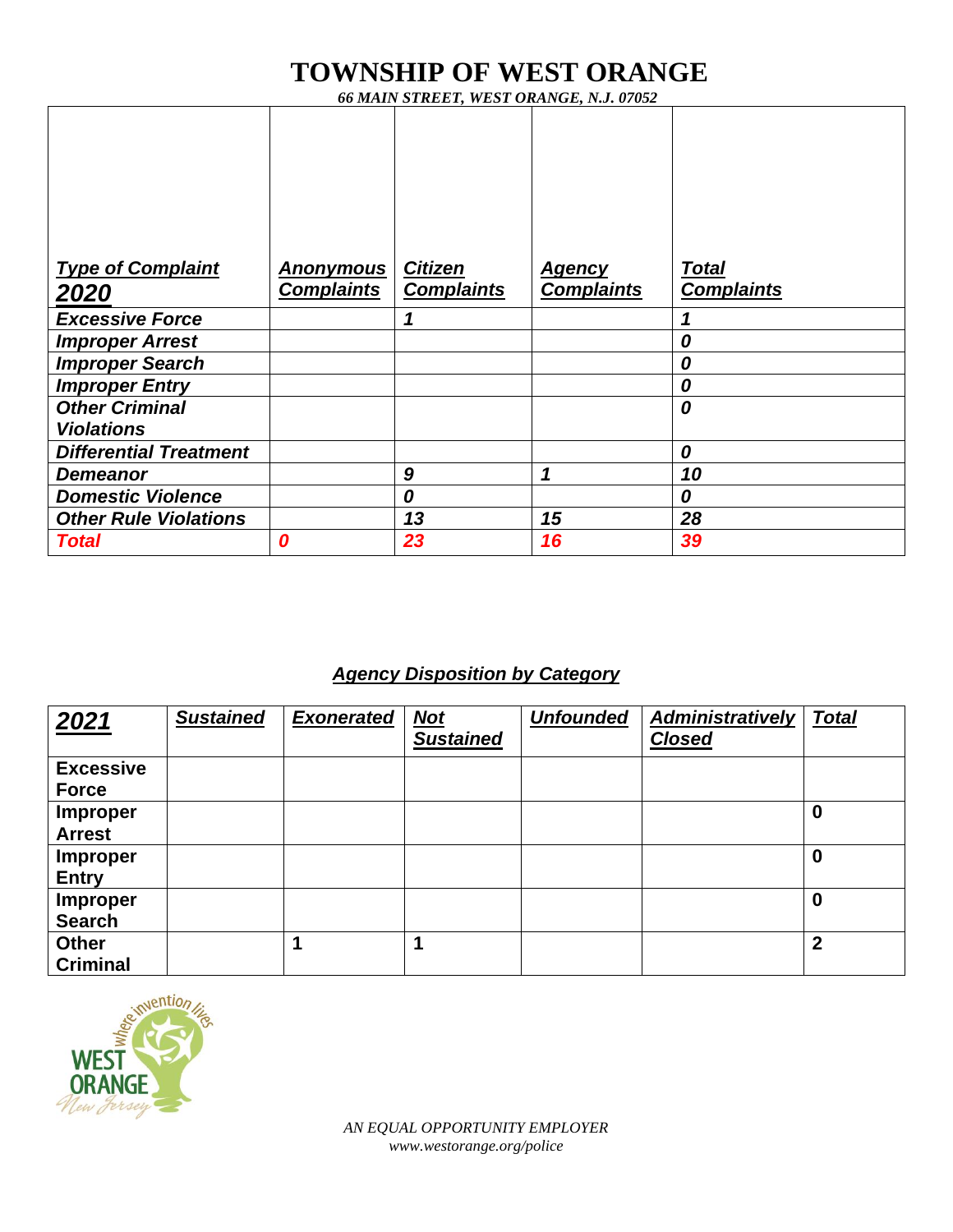*66 MAIN STREET, WEST ORANGE, N.J. 07052*

| <b>Type of Complaint</b>                   | <u>Anonymous</u>  | <b>Citizen</b>    | <u>Agency</u>     | <b>Total</b>      |
|--------------------------------------------|-------------------|-------------------|-------------------|-------------------|
| 2020                                       | <b>Complaints</b> | <b>Complaints</b> | <b>Complaints</b> | <b>Complaints</b> |
| <b>Excessive Force</b>                     |                   |                   |                   |                   |
| <b>Improper Arrest</b>                     |                   |                   |                   | 0                 |
| <b>Improper Search</b>                     |                   |                   |                   | 0                 |
| <b>Improper Entry</b>                      |                   |                   |                   | 0                 |
| <b>Other Criminal</b><br><b>Violations</b> |                   |                   |                   | 0                 |
| <b>Differential Treatment</b>              |                   |                   |                   | 0                 |
| <b>Demeanor</b>                            |                   | 9                 | 1                 | 10                |
| <b>Domestic Violence</b>                   |                   | 0                 |                   | 0                 |
| <b>Other Rule Violations</b>               |                   | 13                | 15                | 28                |
| <b>Total</b>                               | 0                 | 23                | 16                | 39                |

### *Agency Disposition by Category*

| 2021                             | <b>Sustained</b> | <b>Exonerated</b> | $Not$<br><b>Sustained</b> | <b>Unfounded</b> | <b>Administratively</b><br><b>Closed</b> | <b>Total</b> |
|----------------------------------|------------------|-------------------|---------------------------|------------------|------------------------------------------|--------------|
| <b>Excessive</b><br><b>Force</b> |                  |                   |                           |                  |                                          |              |
| <b>Improper</b><br><b>Arrest</b> |                  |                   |                           |                  |                                          | $\bf{0}$     |
| <b>Improper</b><br><b>Entry</b>  |                  |                   |                           |                  |                                          | 0            |
| <b>Improper</b><br><b>Search</b> |                  |                   |                           |                  |                                          | $\bf{0}$     |
| <b>Other</b><br><b>Criminal</b>  |                  |                   |                           |                  |                                          | $\mathbf{2}$ |

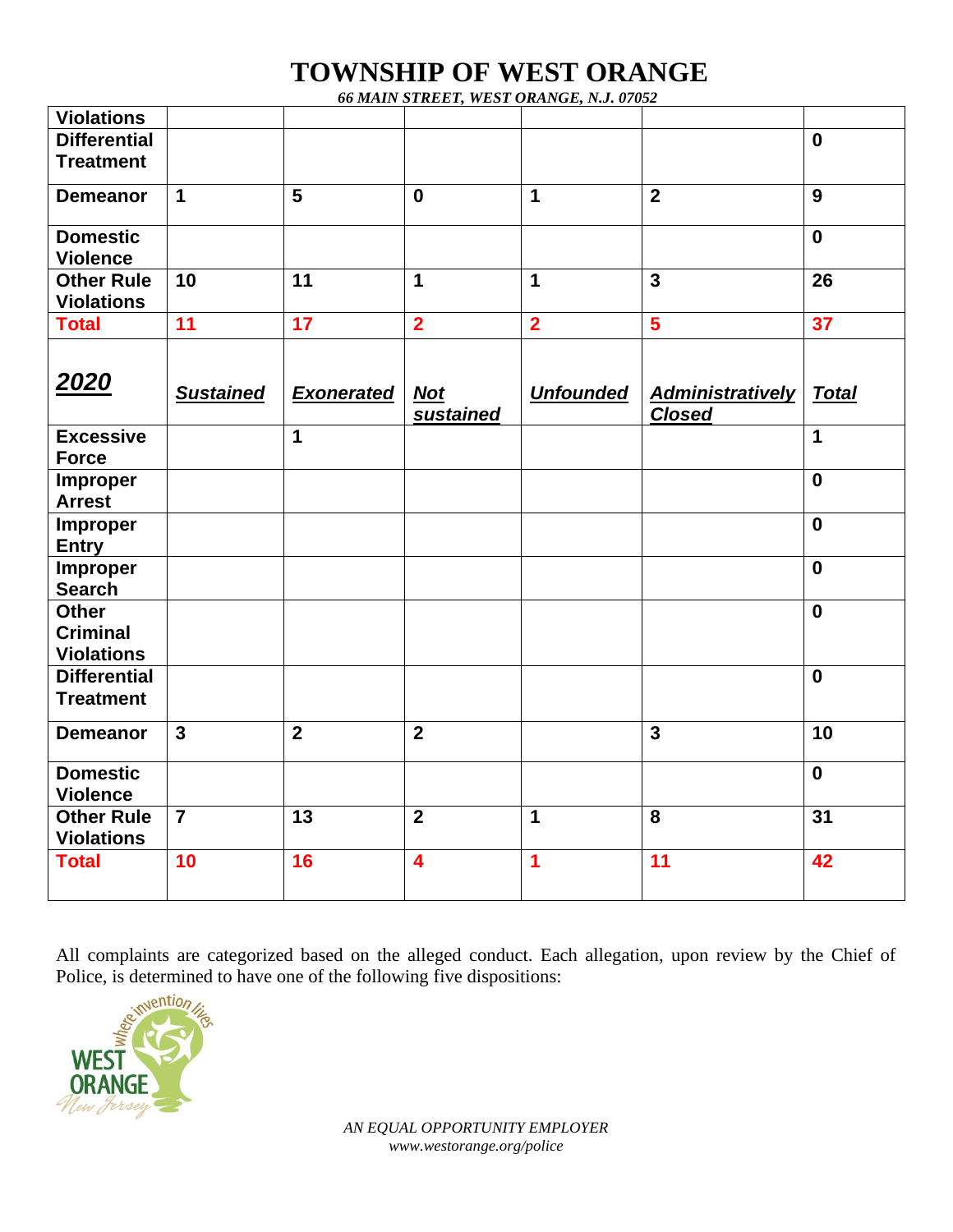*66 MAIN STREET, WEST ORANGE, N.J. 07052*

| <b>Violations</b>   |                  |                         |                         |                         |                         |              |
|---------------------|------------------|-------------------------|-------------------------|-------------------------|-------------------------|--------------|
| <b>Differential</b> |                  |                         |                         |                         |                         | $\mathbf 0$  |
| <b>Treatment</b>    |                  |                         |                         |                         |                         |              |
|                     | $\mathbf{1}$     | 5                       | $\mathbf 0$             | 1                       | $\overline{2}$          |              |
| <b>Demeanor</b>     |                  |                         |                         |                         |                         | 9            |
| <b>Domestic</b>     |                  |                         |                         |                         |                         | $\mathbf 0$  |
| <b>Violence</b>     |                  |                         |                         |                         |                         |              |
| <b>Other Rule</b>   | 10               | 11                      | $\mathbf 1$             | $\mathbf 1$             | $\overline{3}$          | 26           |
| <b>Violations</b>   |                  |                         |                         |                         |                         |              |
| <b>Total</b>        | 11               | 17                      | $\overline{2}$          | $\overline{\mathbf{2}}$ | $\overline{\mathbf{5}}$ | 37           |
|                     |                  |                         |                         |                         |                         |              |
|                     |                  |                         |                         |                         |                         |              |
| 2020                |                  |                         |                         |                         |                         |              |
|                     | <b>Sustained</b> | <b>Exonerated</b>       | <b>Not</b>              | <b>Unfounded</b>        | <b>Administratively</b> | <b>Total</b> |
|                     |                  |                         | <b>sustained</b>        |                         | <b>Closed</b>           |              |
| <b>Excessive</b>    |                  | $\overline{\mathbf{1}}$ |                         |                         |                         | $\mathbf 1$  |
| <b>Force</b>        |                  |                         |                         |                         |                         |              |
| Improper            |                  |                         |                         |                         |                         | $\mathbf 0$  |
| <b>Arrest</b>       |                  |                         |                         |                         |                         |              |
| Improper            |                  |                         |                         |                         |                         | $\mathbf 0$  |
| <b>Entry</b>        |                  |                         |                         |                         |                         |              |
| Improper            |                  |                         |                         |                         |                         | $\mathbf 0$  |
| <b>Search</b>       |                  |                         |                         |                         |                         |              |
| <b>Other</b>        |                  |                         |                         |                         |                         | $\mathbf 0$  |
| <b>Criminal</b>     |                  |                         |                         |                         |                         |              |
| <b>Violations</b>   |                  |                         |                         |                         |                         |              |
| <b>Differential</b> |                  |                         |                         |                         |                         | $\mathbf 0$  |
| <b>Treatment</b>    |                  |                         |                         |                         |                         |              |
| <b>Demeanor</b>     | $\overline{3}$   | $\overline{2}$          | $\overline{2}$          |                         | $\overline{3}$          | 10           |
|                     |                  |                         |                         |                         |                         |              |
| <b>Domestic</b>     |                  |                         |                         |                         |                         | $\mathbf 0$  |
| <b>Violence</b>     |                  |                         |                         |                         |                         |              |
| <b>Other Rule</b>   | $\overline{7}$   | 13                      | $\overline{2}$          | 1                       | 8                       | 31           |
| <b>Violations</b>   |                  |                         |                         |                         |                         |              |
| <b>Total</b>        | 10               | 16                      | $\overline{\mathbf{4}}$ | 1                       | 11                      | 42           |
|                     |                  |                         |                         |                         |                         |              |
|                     |                  |                         |                         |                         |                         |              |

All complaints are categorized based on the alleged conduct. Each allegation, upon review by the Chief of Police, is determined to have one of the following five dispositions:<br>  $\frac{e^{iN} \sinh(i\theta)}{2\pi i}$ 

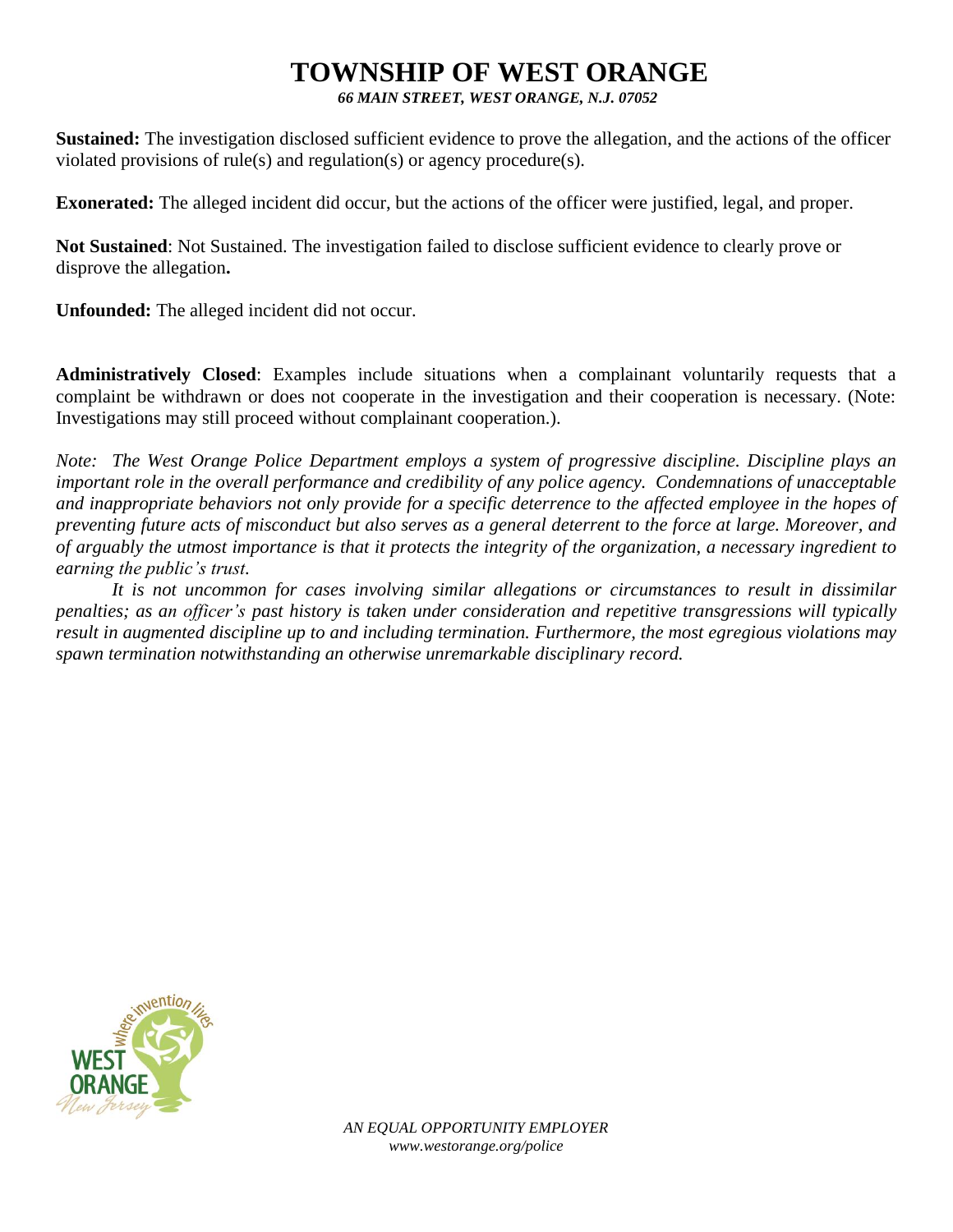*66 MAIN STREET, WEST ORANGE, N.J. 07052*

**Sustained:** The investigation disclosed sufficient evidence to prove the allegation, and the actions of the officer violated provisions of rule(s) and regulation(s) or agency procedure(s).

**Exonerated:** The alleged incident did occur, but the actions of the officer were justified, legal, and proper.

**Not Sustained**: Not Sustained. The investigation failed to disclose sufficient evidence to clearly prove or disprove the allegation**.**

**Unfounded:** The alleged incident did not occur.

**Administratively Closed**: Examples include situations when a complainant voluntarily requests that a complaint be withdrawn or does not cooperate in the investigation and their cooperation is necessary. (Note: Investigations may still proceed without complainant cooperation.).

*Note: The West Orange Police Department employs a system of progressive discipline. Discipline plays an important role in the overall performance and credibility of any police agency. Condemnations of unacceptable and inappropriate behaviors not only provide for a specific deterrence to the affected employee in the hopes of preventing future acts of misconduct but also serves as a general deterrent to the force at large. Moreover, and of arguably the utmost importance is that it protects the integrity of the organization, a necessary ingredient to earning the public's trust.* 

*It is not uncommon for cases involving similar allegations or circumstances to result in dissimilar penalties; as an officer's past history is taken under consideration and repetitive transgressions will typically result in augmented discipline up to and including termination. Furthermore, the most egregious violations may spawn termination notwithstanding an otherwise unremarkable disciplinary record.*